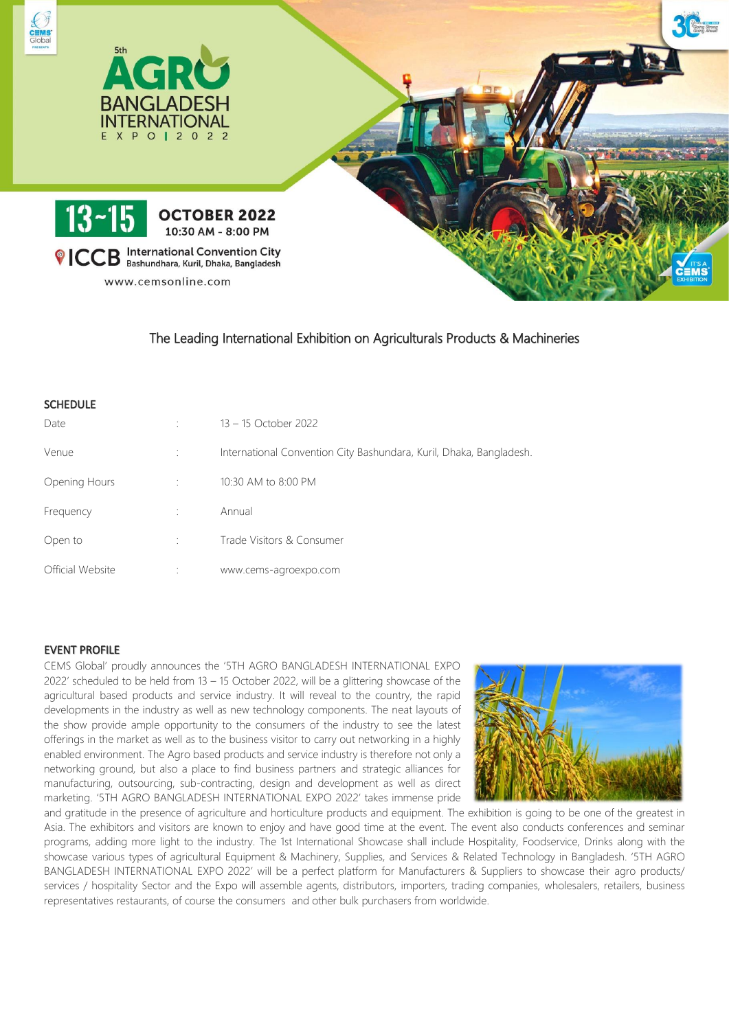

The Leading International Exhibition on Agriculturals Products & Machineries

| <b>SCHEDULE</b>  |                                                                     |
|------------------|---------------------------------------------------------------------|
| Date             | 13 - 15 October 2022                                                |
| Venue            | International Convention City Bashundara, Kuril, Dhaka, Bangladesh. |
| Opening Hours    | 10:30 AM to 8:00 PM                                                 |
| Frequency        | Annual                                                              |
| Open to          | Trade Visitors & Consumer                                           |
| Official Website | www.cems-agroexpo.com                                               |

## EVENT PROFILE

CEMS Global' proudly announces the '5TH AGRO BANGLADESH INTERNATIONAL EXPO 2022' scheduled to be held from 13 – 15 October 2022, will be a glittering showcase of the agricultural based products and service industry. It will reveal to the country, the rapid developments in the industry as well as new technology components. The neat layouts of the show provide ample opportunity to the consumers of the industry to see the latest offerings in the market as well as to the business visitor to carry out networking in a highly enabled environment. The Agro based products and service industry is therefore not only a networking ground, but also a place to find business partners and strategic alliances for manufacturing, outsourcing, sub-contracting, design and development as well as direct marketing. '5TH AGRO BANGLADESH INTERNATIONAL EXPO 2022' takes immense pride



and gratitude in the presence of agriculture and horticulture products and equipment. The exhibition is going to be one of the greatest in Asia. The exhibitors and visitors are known to enjoy and have good time at the event. The event also conducts conferences and seminar programs, adding more light to the industry. The 1st International Showcase shall include Hospitality, Foodservice, Drinks along with the showcase various types of agricultural Equipment & Machinery, Supplies, and Services & Related Technology in Bangladesh. '5TH AGRO BANGLADESH INTERNATIONAL EXPO 2022' will be a perfect platform for Manufacturers & Suppliers to showcase their agro products/ services / hospitality Sector and the Expo will assemble agents, distributors, importers, trading companies, wholesalers, retailers, business representatives restaurants, of course the consumers and other bulk purchasers from worldwide.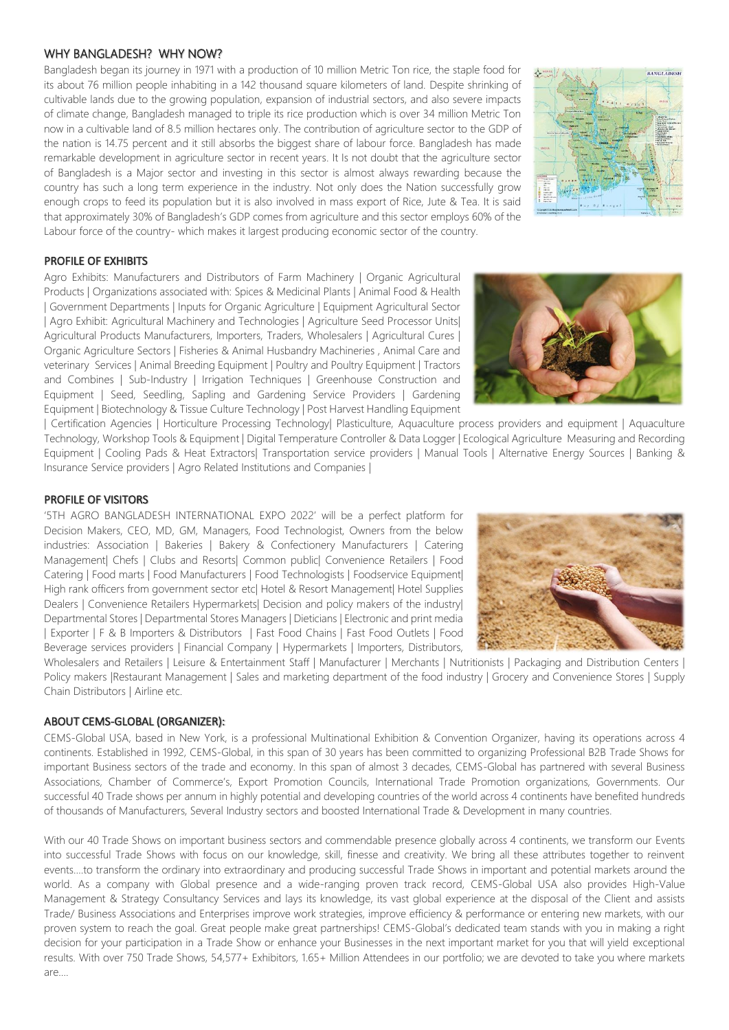## WHY BANGLADESH? WHY NOW?

Bangladesh began its journey in 1971 with a production of 10 million Metric Ton rice, the staple food for its about 76 million people inhabiting in a 142 thousand square kilometers of land. Despite shrinking of cultivable lands due to the growing population, expansion of industrial sectors, and also severe impacts of climate change, Bangladesh managed to triple its rice production which is over 34 million Metric Ton now in a cultivable land of 8.5 million hectares only. The contribution of agriculture sector to the GDP of the nation is 14.75 percent and it still absorbs the biggest share of labour force. Bangladesh has made remarkable development in agriculture sector in recent years. It Is not doubt that the agriculture sector of Bangladesh is a Major sector and investing in this sector is almost always rewarding because the country has such a long term experience in the industry. Not only does the Nation successfully grow enough crops to feed its population but it is also involved in mass export of Rice, Jute & Tea. It is said that approximately 30% of Bangladesh's GDP comes from agriculture and this sector employs 60% of the Labour force of the country- which makes it largest producing economic sector of the country.



## PROFILE OF EXHIBITS

Agro Exhibits: Manufacturers and Distributors of Farm Machinery | Organic Agricultural Products | Organizations associated with: Spices & Medicinal Plants | Animal Food & Health | Government Departments | Inputs for Organic Agriculture | Equipment Agricultural Sector | Agro Exhibit: Agricultural Machinery and Technologies | Agriculture Seed Processor Units| Agricultural Products Manufacturers, Importers, Traders, Wholesalers | Agricultural Cures | Organic Agriculture Sectors | Fisheries & Animal Husbandry Machineries , Animal Care and veterinary Services | Animal Breeding Equipment | Poultry and Poultry Equipment | Tractors and Combines | Sub-Industry | Irrigation Techniques | Greenhouse Construction and Equipment | Seed, Seedling, Sapling and Gardening Service Providers | Gardening Equipment | Biotechnology & Tissue Culture Technology | Post Harvest Handling Equipment



| Certification Agencies | Horticulture Processing Technology| Plasticulture, Aquaculture process providers and equipment | Aquaculture Technology, Workshop Tools & Equipment | Digital Temperature Controller & Data Logger | Ecological Agriculture Measuring and Recording Equipment | Cooling Pads & Heat Extractors| Transportation service providers | Manual Tools | Alternative Energy Sources | Banking & Insurance Service providers | Agro Related Institutions and Companies |

### PROFILE OF VISITORS

'5TH AGRO BANGLADESH INTERNATIONAL EXPO 2022' will be a perfect platform for Decision Makers, CEO, MD, GM, Managers, Food Technologist, Owners from the below industries: Association | Bakeries | Bakery & Confectionery Manufacturers | Catering Management| Chefs | Clubs and Resorts| Common public| Convenience Retailers | Food Catering | Food marts | Food Manufacturers | Food Technologists | Foodservice Equipment| High rank officers from government sector etc| Hotel & Resort Management| Hotel Supplies Dealers | Convenience Retailers Hypermarkets| Decision and policy makers of the industry| Departmental Stores | Departmental Stores Managers | Dieticians | Electronic and print media | Exporter | F & B Importers & Distributors | Fast Food Chains | Fast Food Outlets | Food Beverage services providers | Financial Company | Hypermarkets | Importers, Distributors,



Wholesalers and Retailers | Leisure & Entertainment Staff | Manufacturer | Merchants | Nutritionists | Packaging and Distribution Centers | Policy makers IRestaurant Management | Sales and marketing department of the food industry | Grocery and Convenience Stores | Supply Chain Distributors | Airline etc.

#### ABOUT CEMS-GLOBAL (ORGANIZER):

CEMS-Global USA, based in New York, is a professional Multinational Exhibition & Convention Organizer, having its operations across 4 continents. Established in 1992, CEMS-Global, in this span of 30 years has been committed to organizing Professional B2B Trade Shows for important Business sectors of the trade and economy. In this span of almost 3 decades, CEMS-Global has partnered with several Business Associations, Chamber of Commerce's, Export Promotion Councils, International Trade Promotion organizations, Governments. Our successful 40 Trade shows per annum in highly potential and developing countries of the world across 4 continents have benefited hundreds of thousands of Manufacturers, Several Industry sectors and boosted International Trade & Development in many countries.

With our 40 Trade Shows on important business sectors and commendable presence globally across 4 continents, we transform our Events into successful Trade Shows with focus on our knowledge, skill, finesse and creativity. We bring all these attributes together to reinvent events….to transform the ordinary into extraordinary and producing successful Trade Shows in important and potential markets around the world. As a company with Global presence and a wide-ranging proven track record, CEMS-Global USA also provides High-Value Management & Strategy Consultancy Services and lays its knowledge, its vast global experience at the disposal of the Client and assists Trade/ Business Associations and Enterprises improve work strategies, improve efficiency & performance or entering new markets, with our proven system to reach the goal. Great people make great partnerships! CEMS-Global's dedicated team stands with you in making a right decision for your participation in a Trade Show or enhance your Businesses in the next important market for you that will yield exceptional results. With over 750 Trade Shows, 54,577+ Exhibitors, 1.65+ Million Attendees in our portfolio; we are devoted to take you where markets are….